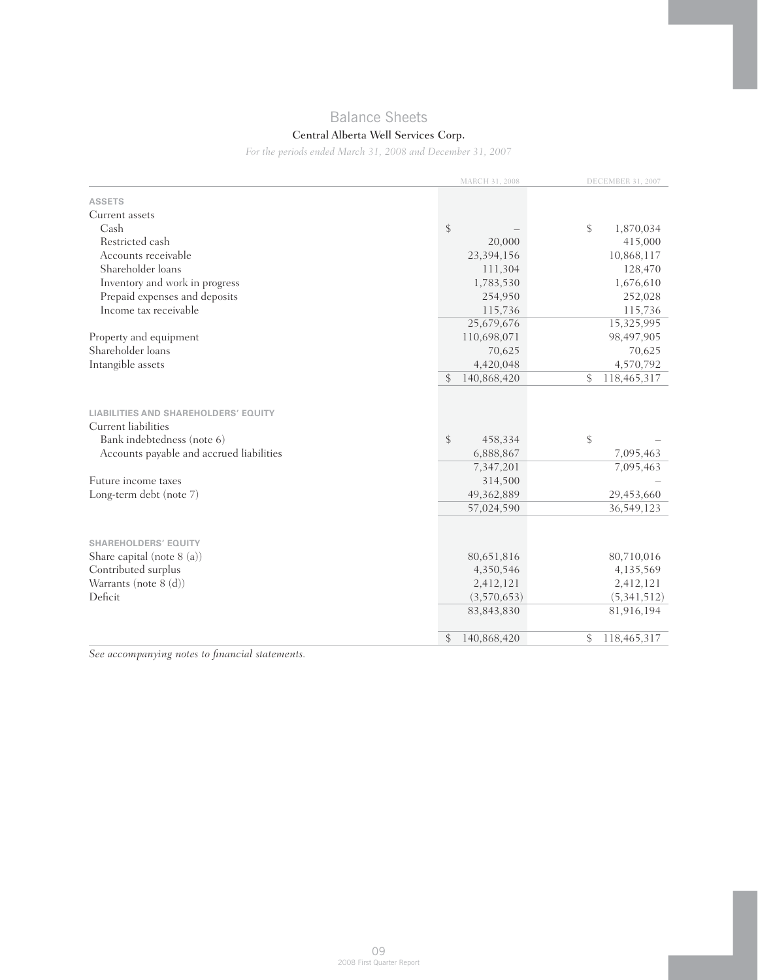# Balance Sheets

## Central Alberta Well Services Corp.

*For the periods ended March 31, 2008 and December 31, 2007*

|                                                                                                                                       | MARCH 31, 2008                                     | DECEMBER 31, 2007            |  |
|---------------------------------------------------------------------------------------------------------------------------------------|----------------------------------------------------|------------------------------|--|
| <b>ASSETS</b>                                                                                                                         |                                                    |                              |  |
| Current assets                                                                                                                        |                                                    |                              |  |
| Cash                                                                                                                                  | $\boldsymbol{\mathsf{\$}}$                         | \$<br>1,870,034              |  |
| Restricted cash                                                                                                                       | 20,000                                             | 415,000                      |  |
| Accounts receivable                                                                                                                   | 23,394,156                                         | 10,868,117                   |  |
| Shareholder loans                                                                                                                     | 111,304                                            | 128,470                      |  |
| Inventory and work in progress                                                                                                        | 1,783,530                                          | 1,676,610                    |  |
| Prepaid expenses and deposits                                                                                                         | 254,950                                            | 252,028                      |  |
| Income tax receivable                                                                                                                 | 115,736                                            | 115,736                      |  |
|                                                                                                                                       | 25,679,676                                         | 15,325,995                   |  |
| Property and equipment                                                                                                                | 110,698,071                                        | 98,497,905                   |  |
| Shareholder loans                                                                                                                     | 70,625                                             | 70,625                       |  |
| Intangible assets                                                                                                                     | 4,420,048                                          | 4,570,792                    |  |
|                                                                                                                                       | 140,868,420<br>\$                                  | \$<br>118,465,317            |  |
| LIABILITIES AND SHAREHOLDERS' EQUITY<br>Current liabilities<br>Bank indebtedness (note 6)<br>Accounts payable and accrued liabilities | $\frac{1}{2}$<br>458,334<br>6,888,867<br>7,347,201 | \$<br>7,095,463<br>7,095,463 |  |
| Future income taxes                                                                                                                   | 314,500                                            |                              |  |
| Long-term debt (note 7)                                                                                                               | 49,362,889                                         | 29,453,660                   |  |
|                                                                                                                                       | 57,024,590                                         | 36,549,123                   |  |
| <b>SHAREHOLDERS' EQUITY</b>                                                                                                           |                                                    |                              |  |
| Share capital (note $8(a)$ )                                                                                                          | 80,651,816                                         | 80,710,016                   |  |
| Contributed surplus                                                                                                                   | 4,350,546                                          | 4,135,569                    |  |
| Warrants (note 8 (d))                                                                                                                 | 2,412,121                                          | 2,412,121                    |  |
| Deficit                                                                                                                               | (3,570,653)                                        | (5,341,512)                  |  |
|                                                                                                                                       | 83, 843, 830                                       | 81,916,194                   |  |
|                                                                                                                                       | \$<br>140,868,420                                  | 118,465,317<br>\$            |  |

*See accompanying notes to financial statements.*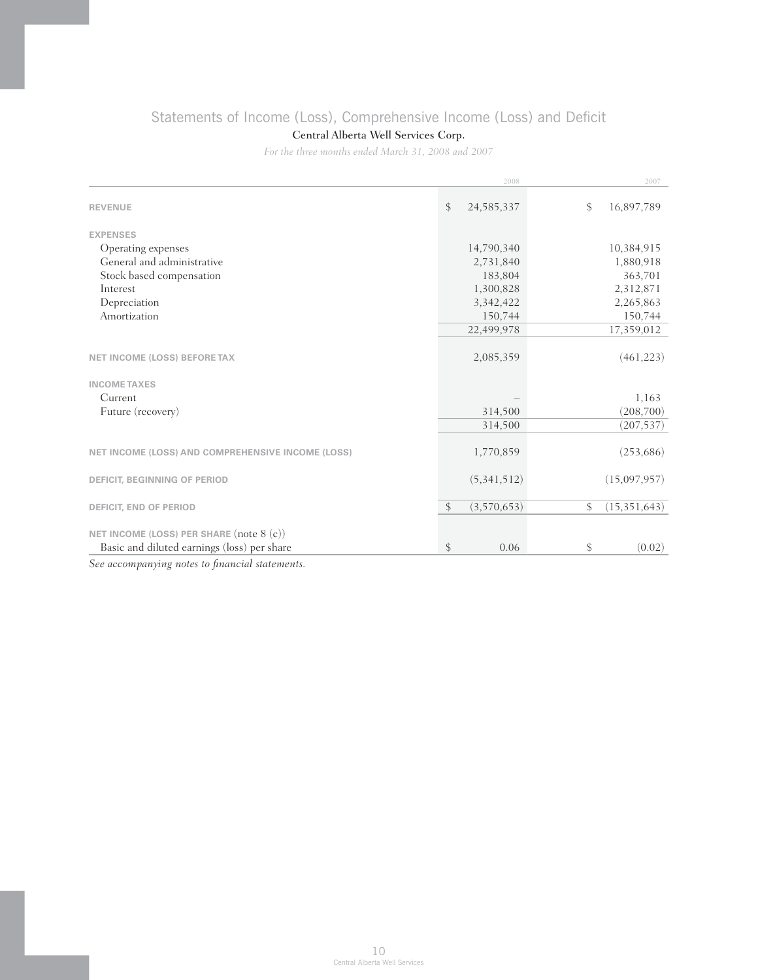# Statements of Income (Loss), Comprehensive Income (Loss) and Deficit

## Central Alberta Well Services Corp.

*For the three months ended March 31, 2008 and 2007*

|                                                   | 2008               | 2007                 |
|---------------------------------------------------|--------------------|----------------------|
| <b>REVENUE</b>                                    | \$<br>24, 585, 337 | \$<br>16,897,789     |
| <b>EXPENSES</b>                                   |                    |                      |
| Operating expenses                                | 14,790,340         | 10,384,915           |
| General and administrative                        | 2,731,840          | 1,880,918            |
| Stock based compensation                          | 183,804            | 363,701              |
| Interest                                          | 1,300,828          | 2,312,871            |
| Depreciation                                      | 3,342,422          | 2,265,863            |
| Amortization                                      | 150,744            | 150,744              |
|                                                   | 22,499,978         | 17,359,012           |
| <b>NET INCOME (LOSS) BEFORETAX</b>                | 2,085,359          | (461, 223)           |
|                                                   |                    |                      |
| <b>INCOME TAXES</b>                               |                    |                      |
| Current                                           |                    | 1,163                |
| Future (recovery)                                 | 314,500            | (208,700)            |
|                                                   | 314,500            | (207, 537)           |
| NET INCOME (LOSS) AND COMPREHENSIVE INCOME (LOSS) | 1,770,859          | (253, 686)           |
| DEFICIT, BEGINNING OF PERIOD                      | (5,341,512)        | (15,097,957)         |
| DEFICIT, END OF PERIOD                            | \$<br>(3,570,653)  | \$<br>(15, 351, 643) |
| NET INCOME (LOSS) PER SHARE (note 8 (c))          |                    |                      |
| Basic and diluted earnings (loss) per share       | \$<br>0.06         | \$<br>(0.02)         |

*See accompanying notes to financial statements.*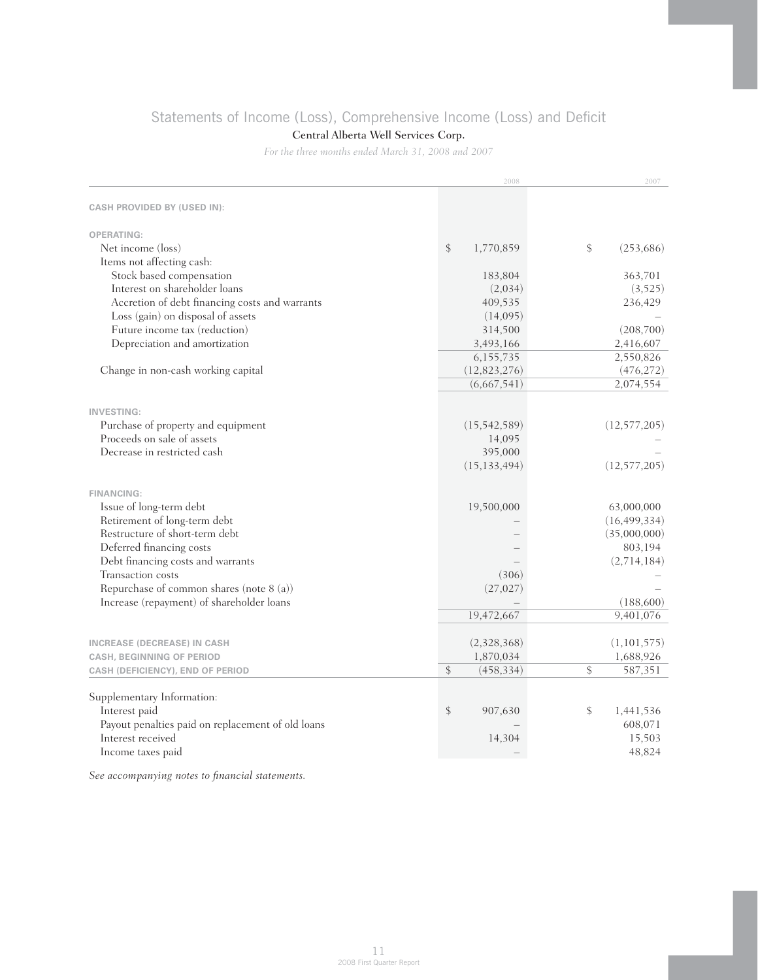# Statements of Income (Loss), Comprehensive Income (Loss) and Deficit

## Central Alberta Well Services Corp.

*For the three months ended March 31, 2008 and 2007*

|                                                   | 2008                       | 2007             |
|---------------------------------------------------|----------------------------|------------------|
| <b>CASH PROVIDED BY (USED IN):</b>                |                            |                  |
| <b>OPERATING:</b>                                 |                            |                  |
| Net income (loss)                                 | $\mathsf{\$}$<br>1,770,859 | \$<br>(253, 686) |
| Items not affecting cash:                         |                            |                  |
| Stock based compensation                          | 183,804                    | 363,701          |
| Interest on shareholder loans                     | (2,034)                    | (3, 525)         |
| Accretion of debt financing costs and warrants    | 409,535                    | 236,429          |
| Loss (gain) on disposal of assets                 | (14,095)                   |                  |
| Future income tax (reduction)                     | 314,500                    | (208, 700)       |
| Depreciation and amortization                     | 3,493,166                  | 2,416,607        |
|                                                   | 6,155,735                  | 2,550,826        |
| Change in non-cash working capital                | (12, 823, 276)             | (476, 272)       |
|                                                   | (6,667,541)                | 2,074,554        |
|                                                   |                            |                  |
| <b>INVESTING:</b>                                 |                            |                  |
| Purchase of property and equipment                | (15, 542, 589)             | (12, 577, 205)   |
| Proceeds on sale of assets                        | 14,095                     |                  |
| Decrease in restricted cash                       | 395,000                    |                  |
|                                                   | (15, 133, 494)             | (12, 577, 205)   |
|                                                   |                            |                  |
| <b>FINANCING:</b>                                 |                            |                  |
| Issue of long-term debt                           | 19,500,000                 | 63,000,000       |
| Retirement of long-term debt                      |                            | (16, 499, 334)   |
| Restructure of short-term debt                    |                            | (35,000,000)     |
| Deferred financing costs                          |                            | 803,194          |
| Debt financing costs and warrants                 |                            | (2,714,184)      |
| Transaction costs                                 | (306)                      |                  |
| Repurchase of common shares (note 8 (a))          | (27, 027)                  |                  |
| Increase (repayment) of shareholder loans         |                            | (188,600)        |
|                                                   | 19,472,667                 | 9,401,076        |
|                                                   |                            |                  |
| <b>INCREASE (DECREASE) IN CASH</b>                | (2,328,368)                | (1, 101, 575)    |
| <b>CASH, BEGINNING OF PERIOD</b>                  | 1,870,034                  | 1,688,926        |
| CASH (DEFICIENCY), END OF PERIOD                  | \$<br>(458, 334)           | \$<br>587,351    |
|                                                   |                            |                  |
| Supplementary Information:                        |                            |                  |
| Interest paid                                     | \$<br>907,630              | \$<br>1,441,536  |
| Payout penalties paid on replacement of old loans |                            | 608,071          |
| Interest received                                 | 14,304                     | 15,503           |
| Income taxes paid                                 |                            | 48,824           |

*See accompanying notes to financial statements.*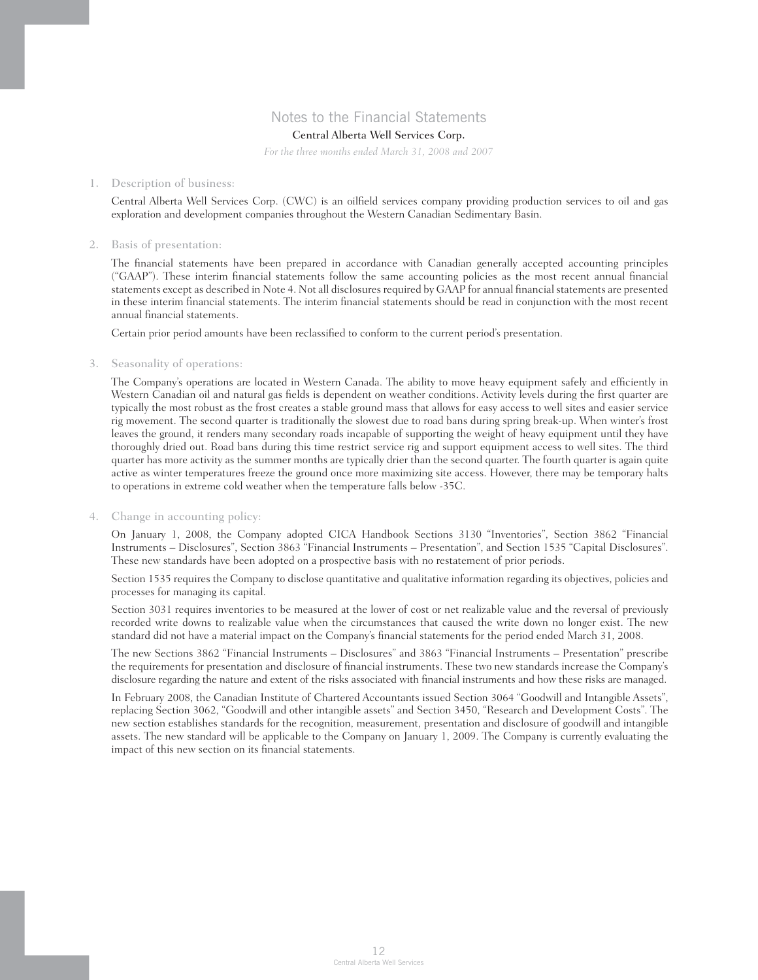## Notes to the Financial Statements

## Central Alberta Well Services Corp.

*For the three months ended March 31, 2008 and 2007*

#### 1. Description of business:

 Central Alberta Well Services Corp. (CWC) is an oilfield services company providing production services to oil and gas exploration and development companies throughout the Western Canadian Sedimentary Basin.

#### 2. Basis of presentation:

 The financial statements have been prepared in accordance with Canadian generally accepted accounting principles ("GAAP"). These interim financial statements follow the same accounting policies as the most recent annual financial statements except as described in Note 4. Not all disclosures required by GAAP for annual financial statements are presented in these interim financial statements. The interim financial statements should be read in conjunction with the most recent annual financial statements.

Certain prior period amounts have been reclassified to conform to the current period's presentation.

#### 3. Seasonality of operations:

 The Company's operations are located in Western Canada. The ability to move heavy equipment safely and efficiently in Western Canadian oil and natural gas fields is dependent on weather conditions. Activity levels during the first quarter are typically the most robust as the frost creates a stable ground mass that allows for easy access to well sites and easier service rig movement. The second quarter is traditionally the slowest due to road bans during spring break-up. When winter's frost leaves the ground, it renders many secondary roads incapable of supporting the weight of heavy equipment until they have thoroughly dried out. Road bans during this time restrict service rig and support equipment access to well sites. The third quarter has more activity as the summer months are typically drier than the second quarter. The fourth quarter is again quite active as winter temperatures freeze the ground once more maximizing site access. However, there may be temporary halts to operations in extreme cold weather when the temperature falls below -35C.

### 4. Change in accounting policy:

 On January 1, 2008, the Company adopted CICA Handbook Sections 3130 "Inventories", Section 3862 "Financial Instruments – Disclosures", Section 3863 "Financial Instruments – Presentation", and Section 1535 "Capital Disclosures". These new standards have been adopted on a prospective basis with no restatement of prior periods.

 Section 1535 requires the Company to disclose quantitative and qualitative information regarding its objectives, policies and processes for managing its capital.

 Section 3031 requires inventories to be measured at the lower of cost or net realizable value and the reversal of previously recorded write downs to realizable value when the circumstances that caused the write down no longer exist. The new standard did not have a material impact on the Company's financial statements for the period ended March 31, 2008.

 The new Sections 3862 "Financial Instruments – Disclosures" and 3863 "Financial Instruments – Presentation" prescribe the requirements for presentation and disclosure of financial instruments. These two new standards increase the Company's disclosure regarding the nature and extent of the risks associated with financial instruments and how these risks are managed.

 In February 2008, the Canadian Institute of Chartered Accountants issued Section 3064 "Goodwill and Intangible Assets", replacing Section 3062, "Goodwill and other intangible assets" and Section 3450, "Research and Development Costs". The new section establishes standards for the recognition, measurement, presentation and disclosure of goodwill and intangible assets. The new standard will be applicable to the Company on January 1, 2009. The Company is currently evaluating the impact of this new section on its financial statements.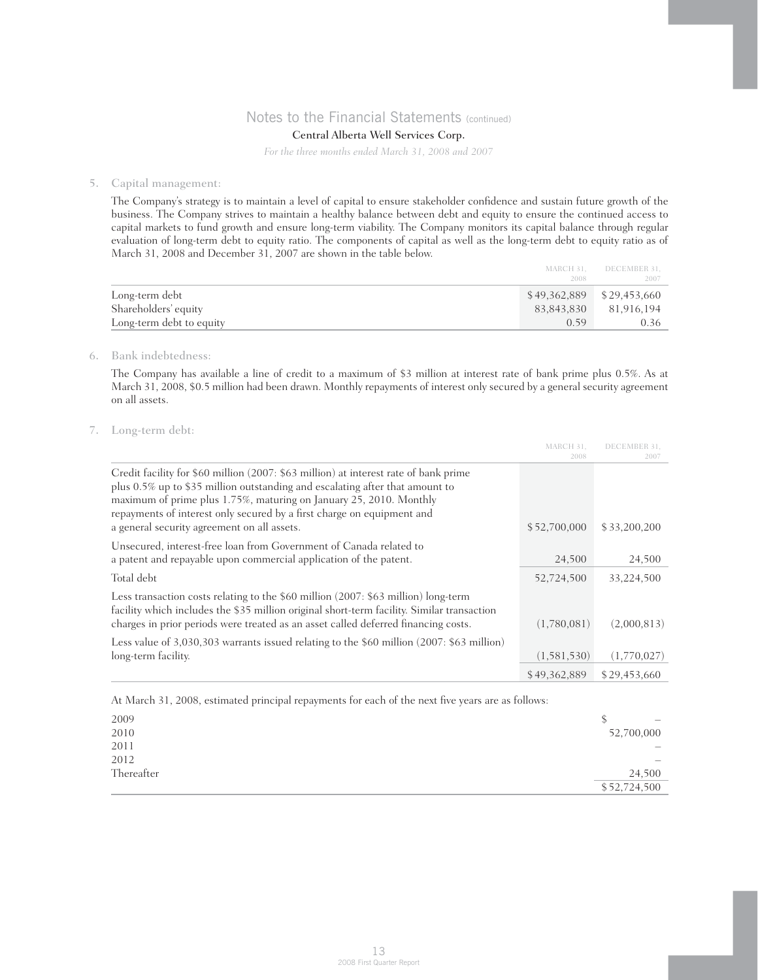## Central Alberta Well Services Corp.

*For the three months ended March 31, 2008 and 2007*

#### 5. Capital management:

 The Company's strategy is to maintain a level of capital to ensure stakeholder confidence and sustain future growth of the business. The Company strives to maintain a healthy balance between debt and equity to ensure the continued access to capital markets to fund growth and ensure long-term viability. The Company monitors its capital balance through regular evaluation of long-term debt to equity ratio. The components of capital as well as the long-term debt to equity ratio as of March 31, 2008 and December 31, 2007 are shown in the table below.

|                          |            | MARCH 31. DECEMBER 31.      |
|--------------------------|------------|-----------------------------|
|                          | 2008       | 2007                        |
| Long-term debt           |            | $$49,362,889$ $$29,453,660$ |
| Shareholders' equity     | 83,843,830 | 81.916.194                  |
| Long-term debt to equity | 0.59       | 0.36-                       |

### 6. Bank indebtedness:

 The Company has available a line of credit to a maximum of \$3 million at interest rate of bank prime plus 0.5%. As at March 31, 2008, \$0.5 million had been drawn. Monthly repayments of interest only secured by a general security agreement on all assets.

### 7. Long-term debt:

|                                                                                                                                                                                                                                                                                                                                                                     | MARCH 31.    | DECEMBER 31. |
|---------------------------------------------------------------------------------------------------------------------------------------------------------------------------------------------------------------------------------------------------------------------------------------------------------------------------------------------------------------------|--------------|--------------|
|                                                                                                                                                                                                                                                                                                                                                                     | 2008         | 2007         |
| Credit facility for \$60 million (2007: \$63 million) at interest rate of bank prime<br>plus 0.5% up to \$35 million outstanding and escalating after that amount to<br>maximum of prime plus 1.75%, maturing on January 25, 2010. Monthly<br>repayments of interest only secured by a first charge on equipment and<br>a general security agreement on all assets. | \$52,700,000 | \$33,200,200 |
| Unsecured, interest-free loan from Government of Canada related to<br>a patent and repayable upon commercial application of the patent.                                                                                                                                                                                                                             | 24,500       | 24,500       |
| Total debt                                                                                                                                                                                                                                                                                                                                                          | 52,724,500   | 33,224,500   |
| Less transaction costs relating to the \$60 million (2007: \$63 million) long-term<br>facility which includes the \$35 million original short-term facility. Similar transaction<br>charges in prior periods were treated as an asset called deferred financing costs.                                                                                              | (1,780,081)  | (2,000,813)  |
| Less value of 3,030,303 warrants issued relating to the \$60 million (2007: \$63 million)                                                                                                                                                                                                                                                                           |              |              |
| long-term facility.                                                                                                                                                                                                                                                                                                                                                 | (1,581,530)  | (1,770,027)  |
|                                                                                                                                                                                                                                                                                                                                                                     | \$49,362,889 | \$29,453,660 |

At March 31, 2008, estimated principal repayments for each of the next five years are as follows:

| 2009       | $\hspace{0.1mm}-\hspace{0.1mm}$ |
|------------|---------------------------------|
| 2010       | 52,700,000                      |
| 2011       | $\overline{\phantom{0}}$        |
| 2012       | $\overline{\phantom{a}}$        |
| Thereafter | 24,500                          |
|            | \$52,724,500                    |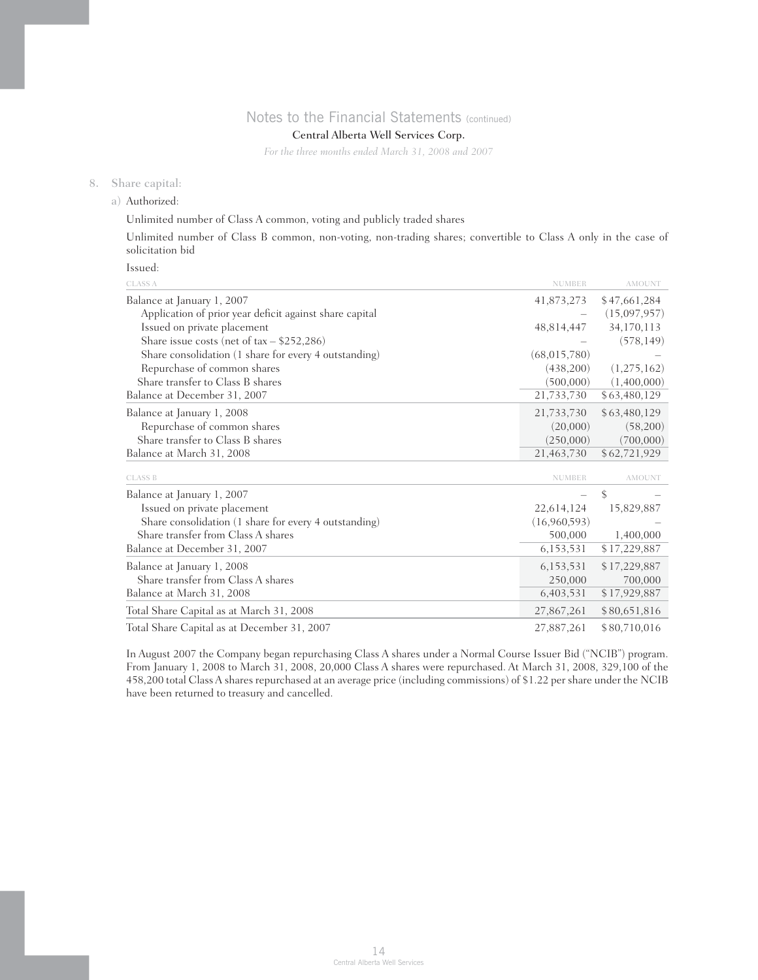## Central Alberta Well Services Corp.

*For the three months ended March 31, 2008 and 2007*

### 8. Share capital:

a) Authorized:

Unlimited number of Class A common, voting and publicly traded shares

 Unlimited number of Class B common, non-voting, non-trading shares; convertible to Class A only in the case of solicitation bid

Issued:

| <b>CLASS A</b>                                          | <b>NUMBER</b>  | AMOUNT        |
|---------------------------------------------------------|----------------|---------------|
| Balance at January 1, 2007                              | 41,873,273     | \$47,661,284  |
| Application of prior year deficit against share capital |                | (15,097,957)  |
| Issued on private placement                             | 48,814,447     | 34,170,113    |
| Share issue costs (net of $tax - $252,286$ )            |                | (578, 149)    |
| Share consolidation (1 share for every 4 outstanding)   | (68, 015, 780) |               |
| Repurchase of common shares                             | (438,200)      | (1,275,162)   |
| Share transfer to Class B shares                        | (500,000)      | (1,400,000)   |
| Balance at December 31, 2007                            | 21,733,730     | \$63,480,129  |
| Balance at January 1, 2008                              | 21,733,730     | \$63,480,129  |
| Repurchase of common shares                             | (20,000)       | (58,200)      |
| Share transfer to Class B shares                        | (250,000)      | (700,000)     |
| Balance at March 31, 2008                               | 21,463,730     | \$62,721,929  |
| <b>CLASS B</b>                                          | <b>NUMBER</b>  | <b>AMOUNT</b> |
| Balance at January 1, 2007                              |                | \$            |
| Issued on private placement                             | 22,614,124     | 15,829,887    |
| Share consolidation (1 share for every 4 outstanding)   | (16,960,593)   |               |
| Share transfer from Class A shares                      | 500,000        | 1,400,000     |
| Balance at December 31, 2007                            | 6,153,531      | \$17,229,887  |
| Balance at January 1, 2008                              | 6,153,531      | \$17,229,887  |
| Share transfer from Class A shares                      | 250,000        | 700,000       |
| Balance at March 31, 2008                               | 6,403,531      | \$17,929,887  |
| Total Share Capital as at March 31, 2008                | 27,867,261     | \$80,651,816  |
| Total Share Capital as at December 31, 2007             | 27,887,261     | \$80,710,016  |

 In August 2007 the Company began repurchasing Class A shares under a Normal Course Issuer Bid ("NCIB") program. From January 1, 2008 to March 31, 2008, 20,000 Class A shares were repurchased. At March 31, 2008, 329,100 of the 458,200 total Class A shares repurchased at an average price (including commissions) of \$1.22 per share under the NCIB have been returned to treasury and cancelled.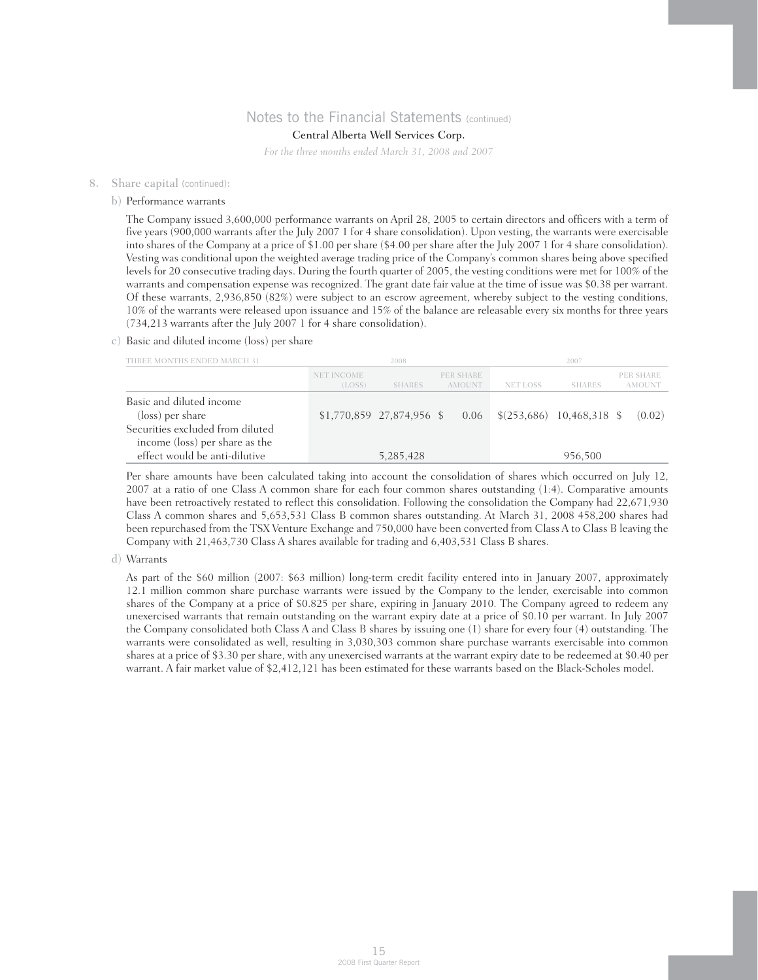## Central Alberta Well Services Corp.

*For the three months ended March 31, 2008 and 2007*

#### 8. Share capital (continued):

#### b) Performance warrants

 The Company issued 3,600,000 performance warrants on April 28, 2005 to certain directors and officers with a term of five years (900,000 warrants after the July 2007 1 for 4 share consolidation). Upon vesting, the warrants were exercisable into shares of the Company at a price of \$1.00 per share (\$4.00 per share after the July 2007 1 for 4 share consolidation). Vesting was conditional upon the weighted average trading price of the Company's common shares being above specified levels for 20 consecutive trading days. During the fourth quarter of 2005, the vesting conditions were met for 100% of the warrants and compensation expense was recognized. The grant date fair value at the time of issue was \$0.38 per warrant. Of these warrants, 2,936,850 (82%) were subject to an escrow agreement, whereby subject to the vesting conditions, 10% of the warrants were released upon issuance and 15% of the balance are releasable every six months for three years (734,213 warrants after the July 2007 1 for 4 share consolidation).

### c) Basic and diluted income (loss) per share

| THREE MONTHS ENDED MARCH 31                                                                                        |                      | 2008                       |                     |                                         | 2007          |                            |
|--------------------------------------------------------------------------------------------------------------------|----------------------|----------------------------|---------------------|-----------------------------------------|---------------|----------------------------|
|                                                                                                                    | NET INCOME<br>(LOSS) | SHARES                     | PER SHARE<br>AMOUNT | NET LOSS                                | <b>SHARES</b> | PER SHARE<br><b>AMOUNT</b> |
| Basic and diluted income<br>(loss) per share<br>Securities excluded from diluted<br>income (loss) per share as the |                      | $$1,770,859$ 27,874,956 \$ | 0.06                | $\frac{1}{2}$ \$(253,686) 10,468,318 \$ |               | (0.02)                     |
| effect would be anti-dilutive                                                                                      |                      | 5,285,428                  |                     |                                         | 956,500       |                            |

 Per share amounts have been calculated taking into account the consolidation of shares which occurred on July 12, 2007 at a ratio of one Class A common share for each four common shares outstanding (1:4). Comparative amounts have been retroactively restated to reflect this consolidation. Following the consolidation the Company had 22,671,930 Class A common shares and 5,653,531 Class B common shares outstanding. At March 31, 2008 458,200 shares had been repurchased from the TSX Venture Exchange and 750,000 have been converted from Class A to Class B leaving the Company with 21,463,730 Class A shares available for trading and 6,403,531 Class B shares.

### d) Warrants

 As part of the \$60 million (2007: \$63 million) long-term credit facility entered into in January 2007, approximately 12.1 million common share purchase warrants were issued by the Company to the lender, exercisable into common shares of the Company at a price of \$0.825 per share, expiring in January 2010. The Company agreed to redeem any unexercised warrants that remain outstanding on the warrant expiry date at a price of \$0.10 per warrant. In July 2007 the Company consolidated both Class A and Class B shares by issuing one (1) share for every four (4) outstanding. The warrants were consolidated as well, resulting in 3,030,303 common share purchase warrants exercisable into common shares at a price of \$3.30 per share, with any unexercised warrants at the warrant expiry date to be redeemed at \$0.40 per warrant. A fair market value of \$2,412,121 has been estimated for these warrants based on the Black-Scholes model.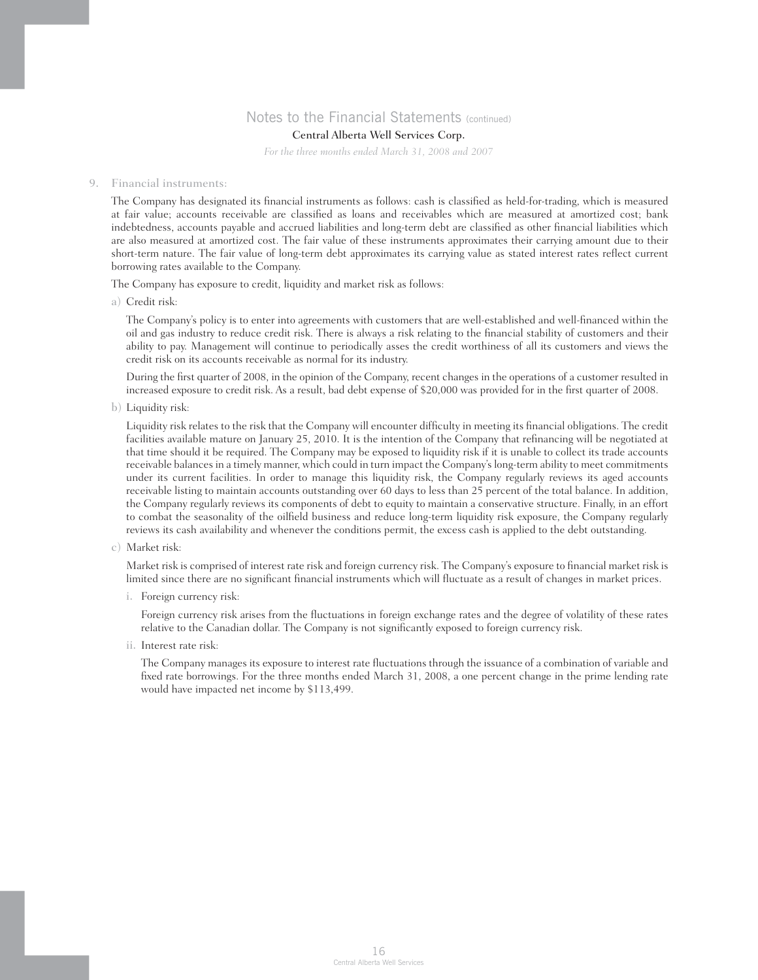## Central Alberta Well Services Corp.

*For the three months ended March 31, 2008 and 2007*

#### 9. Financial instruments:

 The Company has designated its financial instruments as follows: cash is classified as held-for-trading, which is measured at fair value; accounts receivable are classified as loans and receivables which are measured at amortized cost; bank indebtedness, accounts payable and accrued liabilities and long-term debt are classified as other financial liabilities which are also measured at amortized cost. The fair value of these instruments approximates their carrying amount due to their short-term nature. The fair value of long-term debt approximates its carrying value as stated interest rates reflect current borrowing rates available to the Company.

The Company has exposure to credit, liquidity and market risk as follows:

a) Credit risk:

 The Company's policy is to enter into agreements with customers that are well-established and well-financed within the oil and gas industry to reduce credit risk. There is always a risk relating to the financial stability of customers and their ability to pay. Management will continue to periodically asses the credit worthiness of all its customers and views the credit risk on its accounts receivable as normal for its industry.

 During the first quarter of 2008, in the opinion of the Company, recent changes in the operations of a customer resulted in increased exposure to credit risk. As a result, bad debt expense of \$20,000 was provided for in the first quarter of 2008.

b) Liquidity risk:

 Liquidity risk relates to the risk that the Company will encounter difficulty in meeting its financial obligations. The credit facilities available mature on January 25, 2010. It is the intention of the Company that refinancing will be negotiated at that time should it be required. The Company may be exposed to liquidity risk if it is unable to collect its trade accounts receivable balances in a timely manner, which could in turn impact the Company's long-term ability to meet commitments under its current facilities. In order to manage this liquidity risk, the Company regularly reviews its aged accounts receivable listing to maintain accounts outstanding over 60 days to less than 25 percent of the total balance. In addition, the Company regularly reviews its components of debt to equity to maintain a conservative structure. Finally, in an effort to combat the seasonality of the oilfield business and reduce long-term liquidity risk exposure, the Company regularly reviews its cash availability and whenever the conditions permit, the excess cash is applied to the debt outstanding.

c) Market risk:

 Market risk is comprised of interest rate risk and foreign currency risk. The Company's exposure to financial market risk is limited since there are no significant financial instruments which will fluctuate as a result of changes in market prices.

i. Foreign currency risk:

 Foreign currency risk arises from the fluctuations in foreign exchange rates and the degree of volatility of these rates relative to the Canadian dollar. The Company is not significantly exposed to foreign currency risk.

ii. Interest rate risk:

 The Company manages its exposure to interest rate fluctuations through the issuance of a combination of variable and fixed rate borrowings. For the three months ended March 31, 2008, a one percent change in the prime lending rate would have impacted net income by \$113,499.